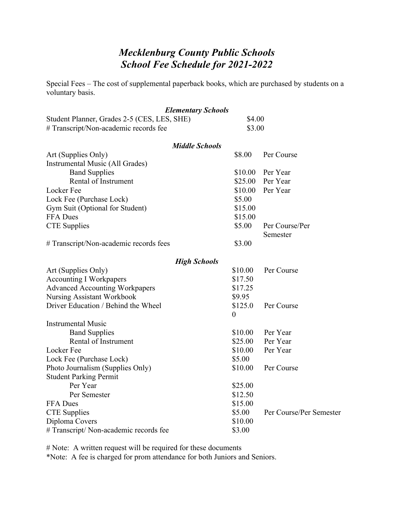## *Mecklenburg County Public Schools School Fee Schedule for 2021-2022*

Special Fees – The cost of supplemental paperback books, which are purchased by students on a voluntary basis.

|                                             | <b>Elementary Schools</b> |                         |  |  |
|---------------------------------------------|---------------------------|-------------------------|--|--|
| Student Planner, Grades 2-5 (CES, LES, SHE) | \$4.00                    |                         |  |  |
| # Transcript/Non-academic records fee       | \$3.00                    |                         |  |  |
|                                             | <b>Middle Schools</b>     |                         |  |  |
| Art (Supplies Only)                         | \$8.00                    | Per Course              |  |  |
| Instrumental Music (All Grades)             |                           |                         |  |  |
| <b>Band Supplies</b>                        | \$10.00                   | Per Year                |  |  |
| Rental of Instrument                        | \$25.00                   | Per Year                |  |  |
| Locker Fee                                  | \$10.00                   | Per Year                |  |  |
| Lock Fee (Purchase Lock)                    | \$5.00                    |                         |  |  |
| Gym Suit (Optional for Student)             | \$15.00                   |                         |  |  |
| FFA Dues                                    | \$15.00                   |                         |  |  |
| <b>CTE</b> Supplies                         | \$5.00                    | Per Course/Per          |  |  |
|                                             |                           | Semester                |  |  |
| # Transcript/Non-academic records fees      | \$3.00                    |                         |  |  |
| <b>High Schools</b>                         |                           |                         |  |  |
| Art (Supplies Only)                         | \$10.00                   | Per Course              |  |  |
| <b>Accounting I Workpapers</b>              | \$17.50                   |                         |  |  |
| <b>Advanced Accounting Workpapers</b>       | \$17.25                   |                         |  |  |
| <b>Nursing Assistant Workbook</b>           | \$9.95                    |                         |  |  |
| Driver Education / Behind the Wheel         | \$125.0                   | Per Course              |  |  |
|                                             | $\boldsymbol{0}$          |                         |  |  |
| <b>Instrumental Music</b>                   |                           |                         |  |  |
| <b>Band Supplies</b>                        | \$10.00                   | Per Year                |  |  |
| Rental of Instrument                        | \$25.00                   | Per Year                |  |  |
| Locker Fee                                  | \$10.00                   | Per Year                |  |  |
| Lock Fee (Purchase Lock)                    | \$5.00                    |                         |  |  |
| Photo Journalism (Supplies Only)            | \$10.00                   | Per Course              |  |  |
| <b>Student Parking Permit</b>               |                           |                         |  |  |
| Per Year                                    | \$25.00                   |                         |  |  |
| Per Semester                                | \$12.50                   |                         |  |  |
| <b>FFA</b> Dues                             | \$15.00                   |                         |  |  |
| <b>CTE</b> Supplies                         | \$5.00                    | Per Course/Per Semester |  |  |
| Diploma Covers                              | \$10.00                   |                         |  |  |
| # Transcript/ Non-academic records fee      | \$3.00                    |                         |  |  |

# Note: A written request will be required for these documents

\*Note: A fee is charged for prom attendance for both Juniors and Seniors.